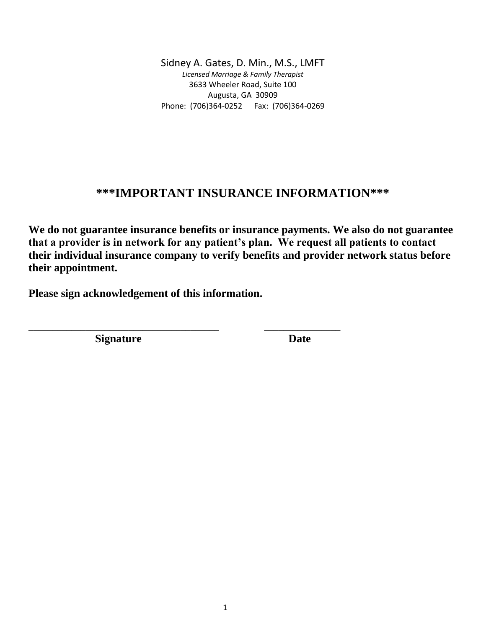## **\*\*\*IMPORTANT INSURANCE INFORMATION\*\*\***

**We do not guarantee insurance benefits or insurance payments. We also do not guarantee that a provider is in network for any patient's plan. We request all patients to contact their individual insurance company to verify benefits and provider network status before their appointment.** 

**Please sign acknowledgement of this information.**

\_\_\_\_\_\_\_\_\_\_\_\_\_\_\_\_\_\_\_\_\_\_\_\_\_\_\_\_\_\_\_\_\_\_\_\_\_\_\_\_ \_\_\_\_\_\_\_\_\_\_\_\_\_\_\_\_

**Signature Date**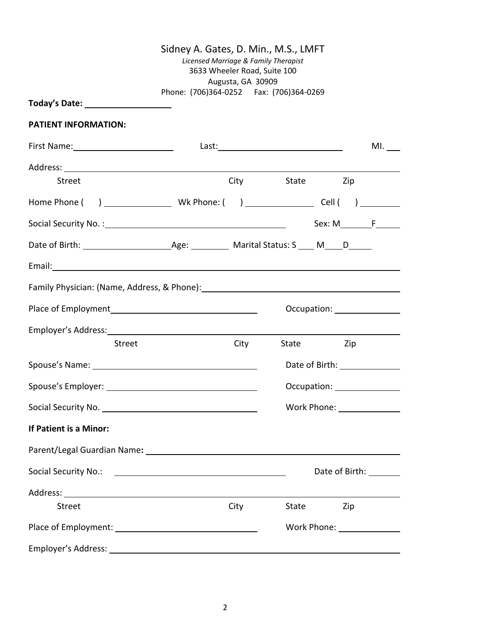|                                                                                                                                                                                                                                     | Sidney A. Gates, D. Min., M.S., LMFT<br>Phone: (706)364-0252    Fax: (706)364-0269 | Augusta, GA 30909 | Licensed Marriage & Family Therapist<br>3633 Wheeler Road, Suite 100 |           |     |                              |
|-------------------------------------------------------------------------------------------------------------------------------------------------------------------------------------------------------------------------------------|------------------------------------------------------------------------------------|-------------------|----------------------------------------------------------------------|-----------|-----|------------------------------|
| Today's Date: _____________________                                                                                                                                                                                                 |                                                                                    |                   |                                                                      |           |     |                              |
| <b>PATIENT INFORMATION:</b>                                                                                                                                                                                                         |                                                                                    |                   |                                                                      |           |     |                              |
|                                                                                                                                                                                                                                     |                                                                                    |                   |                                                                      |           |     | $ML$ <sub>___</sub>          |
|                                                                                                                                                                                                                                     |                                                                                    |                   |                                                                      |           |     |                              |
| <b>Street</b>                                                                                                                                                                                                                       |                                                                                    |                   | <b>City</b>                                                          | State Zip |     |                              |
|                                                                                                                                                                                                                                     |                                                                                    |                   |                                                                      |           |     |                              |
|                                                                                                                                                                                                                                     |                                                                                    |                   |                                                                      |           |     | $Sex: M$ $F$                 |
|                                                                                                                                                                                                                                     |                                                                                    |                   |                                                                      |           |     |                              |
| Email: <u>Announce</u> and the contract of the contract of the contract of the contract of the contract of the contract of the contract of the contract of the contract of the contract of the contract of the contract of the cont |                                                                                    |                   |                                                                      |           |     |                              |
|                                                                                                                                                                                                                                     |                                                                                    |                   |                                                                      |           |     |                              |
|                                                                                                                                                                                                                                     |                                                                                    |                   |                                                                      |           |     | Occupation: ________________ |
|                                                                                                                                                                                                                                     |                                                                                    |                   |                                                                      |           |     |                              |
| <b>Street</b>                                                                                                                                                                                                                       |                                                                                    | City              | State Zip                                                            |           |     |                              |
| Spouse's Name: 1990 and 200 and 200 and 200 and 200 and 200 and 200 and 200 and 200 and 200 and 200 and 200 and 200 and 200 and 200 and 200 and 200 and 200 and 200 and 200 and 200 and 200 and 200 and 200 and 200 and 200 an      |                                                                                    |                   |                                                                      |           |     | Date of Birth: 1990 1990     |
|                                                                                                                                                                                                                                     |                                                                                    |                   |                                                                      |           |     | Occupation: ________________ |
|                                                                                                                                                                                                                                     |                                                                                    |                   |                                                                      |           |     | Work Phone: _______________  |
| If Patient is a Minor:                                                                                                                                                                                                              |                                                                                    |                   |                                                                      |           |     |                              |
|                                                                                                                                                                                                                                     |                                                                                    |                   |                                                                      |           |     |                              |
|                                                                                                                                                                                                                                     |                                                                                    |                   |                                                                      |           |     | Date of Birth: _______       |
|                                                                                                                                                                                                                                     |                                                                                    |                   |                                                                      |           |     |                              |
| <b>Street</b>                                                                                                                                                                                                                       |                                                                                    | City              | State                                                                |           | Zip |                              |
|                                                                                                                                                                                                                                     |                                                                                    |                   |                                                                      |           |     | Work Phone: ________________ |
|                                                                                                                                                                                                                                     |                                                                                    |                   |                                                                      |           |     |                              |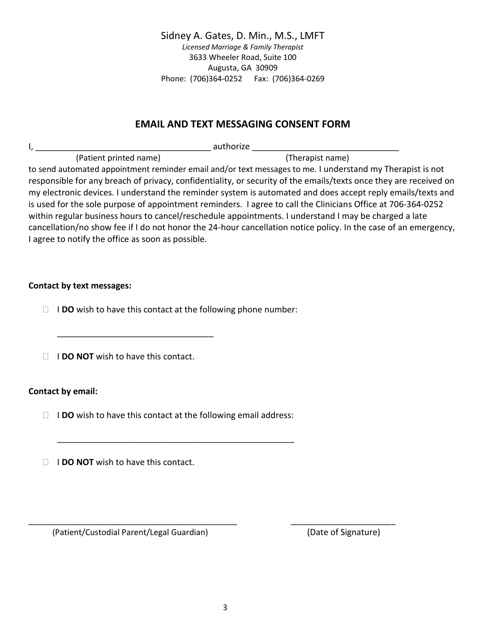### **EMAIL AND TEXT MESSAGING CONSENT FORM**

I, \_\_\_\_\_\_\_\_\_\_\_\_\_\_\_\_\_\_\_\_\_\_\_\_\_\_\_\_\_\_\_\_\_\_\_\_\_ authorize \_\_\_\_\_\_\_\_\_\_\_\_\_\_\_\_\_\_\_\_\_\_\_\_\_\_\_\_\_\_\_ (Patient printed name) (Therapist name)

to send automated appointment reminder email and/or text messages to me. I understand my Therapist is not responsible for any breach of privacy, confidentiality, or security of the emails/texts once they are received on my electronic devices. I understand the reminder system is automated and does accept reply emails/texts and is used for the sole purpose of appointment reminders. I agree to call the Clinicians Office at 706-364-0252 within regular business hours to cancel/reschedule appointments. I understand I may be charged a late cancellation/no show fee if I do not honor the 24-hour cancellation notice policy. In the case of an emergency, I agree to notify the office as soon as possible.

### **Contact by text messages:**

I **DO** wish to have this contact at the following phone number:

**I I DO NOT** wish to have this contact.

\_\_\_\_\_\_\_\_\_\_\_\_\_\_\_\_\_\_\_\_\_\_\_\_\_\_\_\_\_\_\_\_\_

### **Contact by email:**

□ **IDO** wish to have this contact at the following email address:

\_\_\_\_\_\_\_\_\_\_\_\_\_\_\_\_\_\_\_\_\_\_\_\_\_\_\_\_\_\_\_\_\_\_\_\_\_\_\_\_\_\_\_\_\_\_\_\_\_\_

**I I DO NOT** wish to have this contact.

(Patient/Custodial Parent/Legal Guardian) (Date of Signature)

\_\_\_\_\_\_\_\_\_\_\_\_\_\_\_\_\_\_\_\_\_\_\_\_\_\_\_\_\_\_\_\_\_\_\_\_\_\_\_\_\_\_\_\_ \_\_\_\_\_\_\_\_\_\_\_\_\_\_\_\_\_\_\_\_\_\_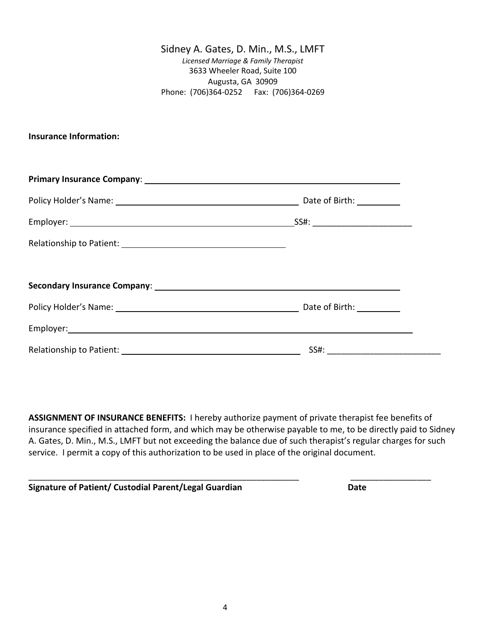### **Insurance Information:**

**ASSIGNMENT OF INSURANCE BENEFITS:** I hereby authorize payment of private therapist fee benefits of insurance specified in attached form, and which may be otherwise payable to me, to be directly paid to Sidney A. Gates, D. Min., M.S., LMFT but not exceeding the balance due of such therapist's regular charges for such service. I permit a copy of this authorization to be used in place of the original document.

\_\_\_\_\_\_\_\_\_\_\_\_\_\_\_\_\_\_\_\_\_\_\_\_\_\_\_\_\_\_\_\_\_\_\_\_\_\_\_\_\_\_\_\_\_\_\_\_\_\_\_\_\_\_\_\_\_ \_\_\_\_\_\_\_\_\_\_\_\_\_\_\_\_\_

**Signature of Patient/ Custodial Parent/Legal Guardian Date**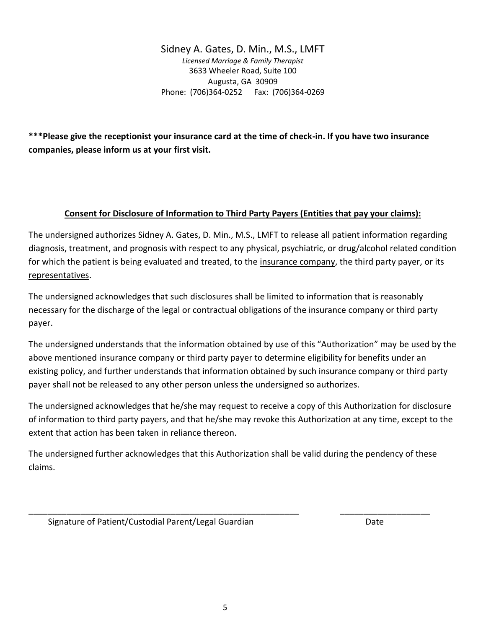**\*\*\*Please give the receptionist your insurance card at the time of check-in. If you have two insurance companies, please inform us at your first visit.**

### **Consent for Disclosure of Information to Third Party Payers (Entities that pay your claims):**

The undersigned authorizes Sidney A. Gates, D. Min., M.S., LMFT to release all patient information regarding diagnosis, treatment, and prognosis with respect to any physical, psychiatric, or drug/alcohol related condition for which the patient is being evaluated and treated, to the insurance company, the third party payer, or its representatives.

The undersigned acknowledges that such disclosures shall be limited to information that is reasonably necessary for the discharge of the legal or contractual obligations of the insurance company or third party payer.

The undersigned understands that the information obtained by use of this "Authorization" may be used by the above mentioned insurance company or third party payer to determine eligibility for benefits under an existing policy, and further understands that information obtained by such insurance company or third party payer shall not be released to any other person unless the undersigned so authorizes.

The undersigned acknowledges that he/she may request to receive a copy of this Authorization for disclosure of information to third party payers, and that he/she may revoke this Authorization at any time, except to the extent that action has been taken in reliance thereon.

The undersigned further acknowledges that this Authorization shall be valid during the pendency of these claims.

\_\_\_\_\_\_\_\_\_\_\_\_\_\_\_\_\_\_\_\_\_\_\_\_\_\_\_\_\_\_\_\_\_\_\_\_\_\_\_\_\_\_\_\_\_\_\_\_\_\_\_\_\_\_\_\_\_ \_\_\_\_\_\_\_\_\_\_\_\_\_\_\_\_\_\_\_

Signature of Patient/Custodial Parent/Legal Guardian Date Date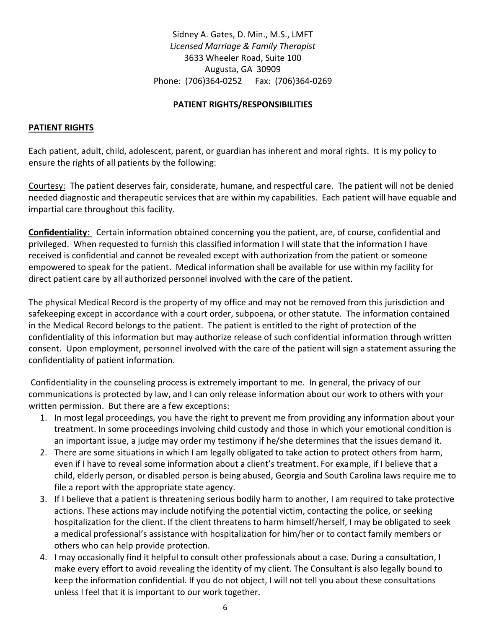### **PATIENT RIGHTS/RESPONSIBILITIES**

### **PATIENT RIGHTS**

Each patient, adult, child, adolescent, parent, or guardian has inherent and moral rights. It is my policy to ensure the rights of all patients by the following:

Courtesy: The patient deserves fair, considerate, humane, and respectful care. The patient will not be denied needed diagnostic and therapeutic services that are within my capabilities. Each patient will have equable and impartial care throughout this facility.

**Confidentiality**: Certain information obtained concerning you the patient, are, of course, confidential and privileged. When requested to furnish this classified information I will state that the information I have received is confidential and cannot be revealed except with authorization from the patient or someone empowered to speak for the patient. Medical information shall be available for use within my facility for direct patient care by all authorized personnel involved with the care of the patient.

The physical Medical Record is the property of my office and may not be removed from this jurisdiction and safekeeping except in accordance with a court order, subpoena, or other statute. The information contained in the Medical Record belongs to the patient. The patient is entitled to the right of protection of the confidentiality of this information but may authorize release of such confidential information through written consent. Upon employment, personnel involved with the care of the patient will sign a statement assuring the confidentiality of patient information.

Confidentiality in the counseling process is extremely important to me. In general, the privacy of our communications is protected by law, and I can only release information about our work to others with your written permission. But there are a few exceptions:

- 1. In most legal proceedings, you have the right to prevent me from providing any information about your treatment. In some proceedings involving child custody and those in which your emotional condition is an important issue, a judge may order my testimony if he/she determines that the issues demand it.
- 2. There are some situations in which I am legally obligated to take action to protect others from harm, even if I have to reveal some information about a client's treatment. For example, if I believe that a child, elderly person, or disabled person is being abused, Georgia and South Carolina laws require me to file a report with the appropriate state agency.
- 3. If I believe that a patient is threatening serious bodily harm to another, I am required to take protective actions. These actions may include notifying the potential victim, contacting the police, or seeking hospitalization for the client. If the client threatens to harm himself/herself, I may be obligated to seek a medical professional's assistance with hospitalization for him/her or to contact family members or others who can help provide protection.
- 4. I may occasionally find it helpful to consult other professionals about a case. During a consultation, I make every effort to avoid revealing the identity of my client. The Consultant is also legally bound to keep the information confidential. If you do not object, I will not tell you about these consultations unless I feel that it is important to our work together.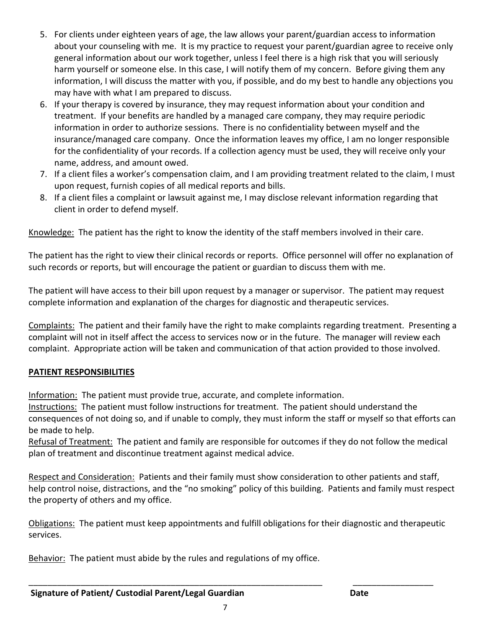- 5. For clients under eighteen years of age, the law allows your parent/guardian access to information about your counseling with me. It is my practice to request your parent/guardian agree to receive only general information about our work together, unless I feel there is a high risk that you will seriously harm yourself or someone else. In this case, I will notify them of my concern. Before giving them any information, I will discuss the matter with you, if possible, and do my best to handle any objections you may have with what I am prepared to discuss.
- 6. If your therapy is covered by insurance, they may request information about your condition and treatment. If your benefits are handled by a managed care company, they may require periodic information in order to authorize sessions. There is no confidentiality between myself and the insurance/managed care company. Once the information leaves my office, I am no longer responsible for the confidentiality of your records. If a collection agency must be used, they will receive only your name, address, and amount owed.
- 7. If a client files a worker's compensation claim, and I am providing treatment related to the claim, I must upon request, furnish copies of all medical reports and bills.
- 8. If a client files a complaint or lawsuit against me, I may disclose relevant information regarding that client in order to defend myself.

Knowledge: The patient has the right to know the identity of the staff members involved in their care.

The patient has the right to view their clinical records or reports. Office personnel will offer no explanation of such records or reports, but will encourage the patient or guardian to discuss them with me.

The patient will have access to their bill upon request by a manager or supervisor. The patient may request complete information and explanation of the charges for diagnostic and therapeutic services.

Complaints: The patient and their family have the right to make complaints regarding treatment. Presenting a complaint will not in itself affect the access to services now or in the future. The manager will review each complaint. Appropriate action will be taken and communication of that action provided to those involved.

### **PATIENT RESPONSIBILITIES**

Information: The patient must provide true, accurate, and complete information.

Instructions: The patient must follow instructions for treatment. The patient should understand the consequences of not doing so, and if unable to comply, they must inform the staff or myself so that efforts can be made to help.

Refusal of Treatment: The patient and family are responsible for outcomes if they do not follow the medical plan of treatment and discontinue treatment against medical advice.

Respect and Consideration: Patients and their family must show consideration to other patients and staff, help control noise, distractions, and the "no smoking" policy of this building. Patients and family must respect the property of others and my office.

Obligations: The patient must keep appointments and fulfill obligations for their diagnostic and therapeutic services.

Behavior: The patient must abide by the rules and regulations of my office.

\_\_\_\_\_\_\_\_\_\_\_\_\_\_\_\_\_\_\_\_\_\_\_\_\_\_\_\_\_\_\_\_\_\_\_\_\_\_\_\_\_\_\_\_\_\_\_\_\_\_\_\_\_\_\_\_\_\_\_\_\_\_ \_\_\_\_\_\_\_\_\_\_\_\_\_\_\_\_\_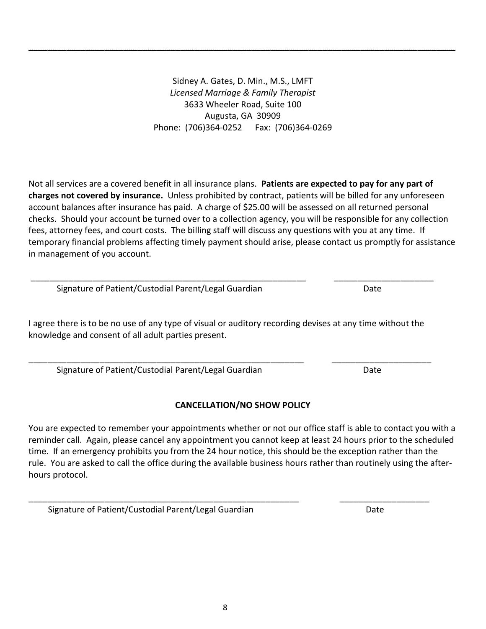\_\_\_\_\_\_\_\_\_\_\_\_\_\_\_\_\_\_\_\_\_\_\_\_\_\_\_\_\_\_\_\_\_\_\_\_\_\_\_\_\_\_\_\_\_\_\_\_\_\_\_\_\_\_\_\_\_\_\_\_\_\_\_\_\_\_\_\_\_\_\_\_\_\_\_\_\_\_\_\_\_\_\_\_\_\_\_\_\_\_

Not all services are a covered benefit in all insurance plans. **Patients are expected to pay for any part of charges not covered by insurance.** Unless prohibited by contract, patients will be billed for any unforeseen account balances after insurance has paid. A charge of \$25.00 will be assessed on all returned personal checks. Should your account be turned over to a collection agency, you will be responsible for any collection fees, attorney fees, and court costs. The billing staff will discuss any questions with you at any time. If temporary financial problems affecting timely payment should arise, please contact us promptly for assistance in management of you account.

\_\_\_\_\_\_\_\_\_\_\_\_\_\_\_\_\_\_\_\_\_\_\_\_\_\_\_\_\_\_\_\_\_\_\_\_\_\_\_\_\_\_\_\_\_\_\_\_\_\_\_\_\_\_\_\_\_\_ \_\_\_\_\_\_\_\_\_\_\_\_\_\_\_\_\_\_\_\_\_ Signature of Patient/Custodial Parent/Legal Guardian discussed by Date

I agree there is to be no use of any type of visual or auditory recording devises at any time without the knowledge and consent of all adult parties present.

\_\_\_\_\_\_\_\_\_\_\_\_\_\_\_\_\_\_\_\_\_\_\_\_\_\_\_\_\_\_\_\_\_\_\_\_\_\_\_\_\_\_\_\_\_\_\_\_\_\_\_\_\_\_\_\_\_\_ \_\_\_\_\_\_\_\_\_\_\_\_\_\_\_\_\_\_\_\_\_ Signature of Patient/Custodial Parent/Legal Guardian Date

## **CANCELLATION/NO SHOW POLICY**

You are expected to remember your appointments whether or not our office staff is able to contact you with a reminder call. Again, please cancel any appointment you cannot keep at least 24 hours prior to the scheduled time. If an emergency prohibits you from the 24 hour notice, this should be the exception rather than the rule. You are asked to call the office during the available business hours rather than routinely using the afterhours protocol.

\_\_\_\_\_\_\_\_\_\_\_\_\_\_\_\_\_\_\_\_\_\_\_\_\_\_\_\_\_\_\_\_\_\_\_\_\_\_\_\_\_\_\_\_\_\_\_\_\_\_\_\_\_\_\_\_\_ \_\_\_\_\_\_\_\_\_\_\_\_\_\_\_\_\_\_\_

Signature of Patient/Custodial Parent/Legal Guardian discussed and Date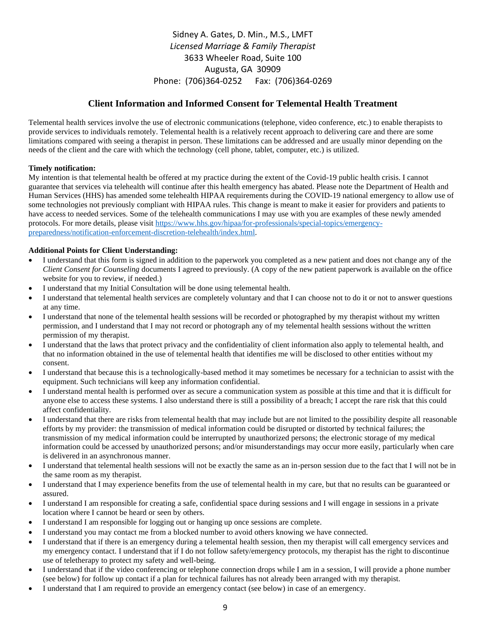### **Client Information and Informed Consent for Telemental Health Treatment**

Telemental health services involve the use of electronic communications (telephone, video conference, etc.) to enable therapists to provide services to individuals remotely. Telemental health is a relatively recent approach to delivering care and there are some limitations compared with seeing a therapist in person. These limitations can be addressed and are usually minor depending on the needs of the client and the care with which the technology (cell phone, tablet, computer, etc.) is utilized.

#### **Timely notification:**

My intention is that telemental health be offered at my practice during the extent of the Covid-19 public health crisis. I cannot guarantee that services via telehealth will continue after this health emergency has abated. Please note the Department of Health and Human Services (HHS) has amended some telehealth HIPAA requirements during the COVID-19 national emergency to allow use of some technologies not previously compliant with HIPAA rules. This change is meant to make it easier for providers and patients to have access to needed services. Some of the telehealth communications I may use with you are examples of these newly amended protocols. For more details, please visit [https://www.hhs.gov/hipaa/for-professionals/special-topics/emergency](about:blank)[preparedness/notification-enforcement-discretion-telehealth/index.html.](about:blank)

#### **Additional Points for Client Understanding:**

- I understand that this form is signed in addition to the paperwork you completed as a new patient and does not change any of the *Client Consent for Counseling* documents I agreed to previously. (A copy of the new patient paperwork is available on the office website for you to review, if needed.)
- I understand that my Initial Consultation will be done using telemental health.
- I understand that telemental health services are completely voluntary and that I can choose not to do it or not to answer questions at any time.
- I understand that none of the telemental health sessions will be recorded or photographed by my therapist without my written permission, and I understand that I may not record or photograph any of my telemental health sessions without the written permission of my therapist.
- I understand that the laws that protect privacy and the confidentiality of client information also apply to telemental health, and that no information obtained in the use of telemental health that identifies me will be disclosed to other entities without my consent.
- I understand that because this is a technologically-based method it may sometimes be necessary for a technician to assist with the equipment. Such technicians will keep any information confidential.
- I understand mental health is performed over as secure a communication system as possible at this time and that it is difficult for anyone else to access these systems. I also understand there is still a possibility of a breach; I accept the rare risk that this could affect confidentiality.
- I understand that there are risks from telemental health that may include but are not limited to the possibility despite all reasonable efforts by my provider: the transmission of medical information could be disrupted or distorted by technical failures; the transmission of my medical information could be interrupted by unauthorized persons; the electronic storage of my medical information could be accessed by unauthorized persons; and/or misunderstandings may occur more easily, particularly when care is delivered in an asynchronous manner.
- I understand that telemental health sessions will not be exactly the same as an in-person session due to the fact that I will not be in the same room as my therapist.
- I understand that I may experience benefits from the use of telemental health in my care, but that no results can be guaranteed or assured.
- I understand I am responsible for creating a safe, confidential space during sessions and I will engage in sessions in a private location where I cannot be heard or seen by others.
- I understand I am responsible for logging out or hanging up once sessions are complete.
- I understand you may contact me from a blocked number to avoid others knowing we have connected.
- I understand that if there is an emergency during a telemental health session, then my therapist will call emergency services and my emergency contact. I understand that if I do not follow safety/emergency protocols, my therapist has the right to discontinue use of teletherapy to protect my safety and well-being.
- I understand that if the video conferencing or telephone connection drops while I am in a session, I will provide a phone number (see below) for follow up contact if a plan for technical failures has not already been arranged with my therapist.
- I understand that I am required to provide an emergency contact (see below) in case of an emergency.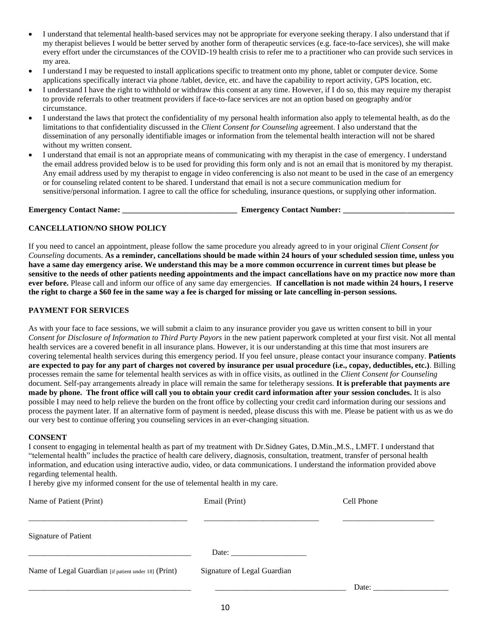- I understand that telemental health-based services may not be appropriate for everyone seeking therapy. I also understand that if my therapist believes I would be better served by another form of therapeutic services (e.g. face-to-face services), she will make every effort under the circumstances of the COVID-19 health crisis to refer me to a practitioner who can provide such services in my area.
- I understand I may be requested to install applications specific to treatment onto my phone, tablet or computer device. Some applications specifically interact via phone /tablet, device, etc. and have the capability to report activity, GPS location, etc.
- I understand I have the right to withhold or withdraw this consent at any time. However, if I do so, this may require my therapist to provide referrals to other treatment providers if face-to-face services are not an option based on geography and/or circumstance.
- I understand the laws that protect the confidentiality of my personal health information also apply to telemental health, as do the limitations to that confidentiality discussed in the *Client Consent for Counseling* agreement. I also understand that the dissemination of any personally identifiable images or information from the telemental health interaction will not be shared without my written consent.
- I understand that email is not an appropriate means of communicating with my therapist in the case of emergency. I understand the email address provided below is to be used for providing this form only and is not an email that is monitored by my therapist. Any email address used by my therapist to engage in video conferencing is also not meant to be used in the case of an emergency or for counseling related content to be shared. I understand that email is not a secure communication medium for sensitive/personal information. I agree to call the office for scheduling, insurance questions, or supplying other information.

**Emergency Contact Name: \_\_\_\_\_\_\_\_\_\_\_\_\_\_\_\_\_\_\_\_\_\_\_\_\_\_\_\_\_ Emergency Contact Number: \_\_\_\_\_\_\_\_\_\_\_\_\_\_\_\_\_\_\_\_\_\_\_\_\_\_\_\_**

#### **CANCELLATION/NO SHOW POLICY**

If you need to cancel an appointment, please follow the same procedure you already agreed to in your original *Client Consent for Counseling* documents. **As a reminder, cancellations should be made within 24 hours of your scheduled session time, unless you have a same day emergency arise. We understand this may be a more common occurrence in current times but please be sensitive to the needs of other patients needing appointments and the impact cancellations have on my practice now more than ever before.** Please call and inform our office of any same day emergencies. **If cancellation is not made within 24 hours, I reserve the right to charge a \$60 fee in the same way a fee is charged for missing or late cancelling in-person sessions.** 

#### **PAYMENT FOR SERVICES**

As with your face to face sessions, we will submit a claim to any insurance provider you gave us written consent to bill in your *Consent for Disclosure of Information to Third Party Payors* in the new patient paperwork completed at your first visit. Not all mental health services are a covered benefit in all insurance plans. However, it is our understanding at this time that most insurers are covering telemental health services during this emergency period. If you feel unsure, please contact your insurance company. **Patients are expected to pay for any part of charges not covered by insurance per usual procedure (i.e., copay, deductibles, etc.)**. Billing processes remain the same for telemental health services as with in office visits, as outlined in the *Client Consent for Counseling* document. Self-pay arrangements already in place will remain the same for teletherapy sessions. **It is preferable that payments are made by phone. The front office will call you to obtain your credit card information after your session concludes.** It is also possible I may need to help relieve the burden on the front office by collecting your credit card information during our sessions and process the payment later. If an alternative form of payment is needed, please discuss this with me. Please be patient with us as we do our very best to continue offering you counseling services in an ever-changing situation.

#### **CONSENT**

I consent to engaging in telemental health as part of my treatment with Dr.Sidney Gates, D.Min.,M.S., LMFT. I understand that "telemental health" includes the practice of health care delivery, diagnosis, consultation, treatment, transfer of personal health information, and education using interactive audio, video, or data communications. I understand the information provided above regarding telemental health.

I hereby give my informed consent for the use of telemental health in my care.

| Name of Patient (Print)                              | Email (Print)                                            | Cell Phone |
|------------------------------------------------------|----------------------------------------------------------|------------|
| <b>Signature of Patient</b>                          |                                                          |            |
|                                                      | Date: $\frac{1}{\sqrt{1-\frac{1}{2}} \cdot \frac{1}{2}}$ |            |
| Name of Legal Guardian [if patient under 18] (Print) | Signature of Legal Guardian                              |            |
|                                                      |                                                          | Date:      |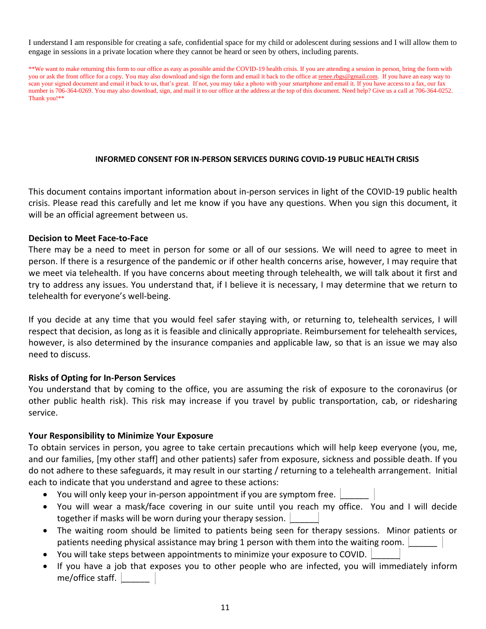I understand I am responsible for creating a safe, confidential space for my child or adolescent during sessions and I will allow them to engage in sessions in a private location where they cannot be heard or seen by others, including parents.

\*\*We want to make returning this form to our office as easy as possible amid the COVID-19 health crisis. If you are attending a session in person, bring the form with you or ask the front office for a copy. You may also download and sign the form and email it back to the office a[t renee.rbgs@gmail.com.](about:blank) If you have an easy way to scan your signed document and email it back to us, that's great. If not, you may take a photo with your smartphone and email it. If you have access to a fax, our fax number is 706-364-0269. You may also download, sign, and mail it to our office at the address at the top of this document. Need help? Give us a call at 706-364-0252. Thank you!\*\*

#### **INFORMED CONSENT FOR IN-PERSON SERVICES DURING COVID-19 PUBLIC HEALTH CRISIS**

This document contains important information about in-person services in light of the COVID-19 public health crisis. Please read this carefully and let me know if you have any questions. When you sign this document, it will be an official agreement between us.

#### **Decision to Meet Face-to-Face**

There may be a need to meet in person for some or all of our sessions. We will need to agree to meet in person. If there is a resurgence of the pandemic or if other health concerns arise, however, I may require that we meet via telehealth. If you have concerns about meeting through telehealth, we will talk about it first and try to address any issues. You understand that, if I believe it is necessary, I may determine that we return to telehealth for everyone's well-being.

If you decide at any time that you would feel safer staying with, or returning to, telehealth services, I will respect that decision, as long as it is feasible and clinically appropriate. Reimbursement for telehealth services, however, is also determined by the insurance companies and applicable law, so that is an issue we may also need to discuss.

### **Risks of Opting for In-Person Services**

You understand that by coming to the office, you are assuming the risk of exposure to the coronavirus (or other public health risk). This risk may increase if you travel by public transportation, cab, or ridesharing service.

#### **Your Responsibility to Minimize Your Exposure**

To obtain services in person, you agree to take certain precautions which will help keep everyone (you, me, and our families, [my other staff] and other patients) safer from exposure, sickness and possible death. If you do not adhere to these safeguards, it may result in our starting / returning to a telehealth arrangement. Initial each to indicate that you understand and agree to these actions:

- You will only keep your in-person appointment if you are symptom free.
- You will wear a mask/face covering in our suite until you reach my office. You and I will decide together if masks will be worn during your therapy session.
- The waiting room should be limited to patients being seen for therapy sessions. Minor patients or patients needing physical assistance may bring 1 person with them into the waiting room.
- You will take steps between appointments to minimize your exposure to COVID. \_\_\_\_\_\_
- If you have a job that exposes you to other people who are infected, you will immediately inform me/office staff.  $\parallel$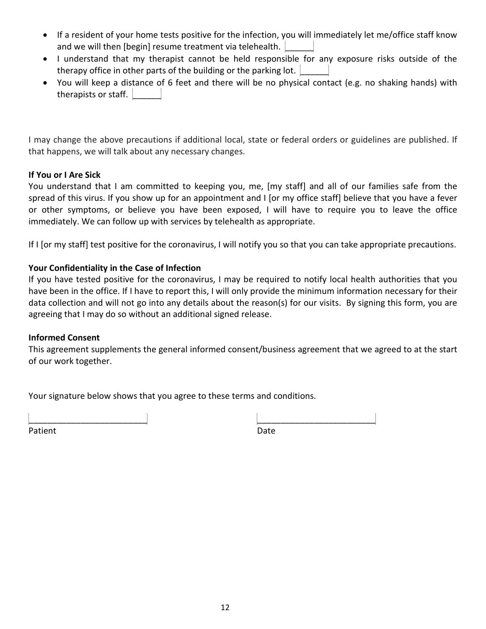- If a resident of your home tests positive for the infection, you will immediately let me/office staff know and we will then [begin] resume treatment via telehealth.
- I understand that my therapist cannot be held responsible for any exposure risks outside of the therapy office in other parts of the building or the parking lot.
- You will keep a distance of 6 feet and there will be no physical contact (e.g. no shaking hands) with therapists or staff.

I may change the above precautions if additional local, state or federal orders or guidelines are published. If that happens, we will talk about any necessary changes.

### **If You or I Are Sick**

You understand that I am committed to keeping you, me, [my staff] and all of our families safe from the spread of this virus. If you show up for an appointment and I [or my office staff] believe that you have a fever or other symptoms, or believe you have been exposed, I will have to require you to leave the office immediately. We can follow up with services by telehealth as appropriate.

If I [or my staff] test positive for the coronavirus, I will notify you so that you can take appropriate precautions.

### **Your Confidentiality in the Case of Infection**

If you have tested positive for the coronavirus, I may be required to notify local health authorities that you have been in the office. If I have to report this, I will only provide the minimum information necessary for their data collection and will not go into any details about the reason(s) for our visits. By signing this form, you are agreeing that I may do so without an additional signed release.

### **Informed Consent**

This agreement supplements the general informed consent/business agreement that we agreed to at the start of our work together.

Your signature below shows that you agree to these terms and conditions.

Patient Date **Date** 

\_\_\_\_\_\_\_\_\_\_\_\_\_\_\_\_\_\_\_\_\_\_\_\_\_ \_\_\_\_\_\_\_\_\_\_\_\_\_\_\_\_\_\_\_\_\_\_\_\_\_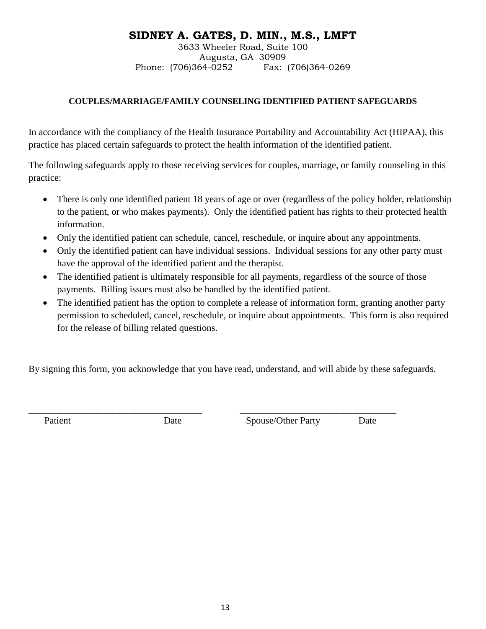## **SIDNEY A. GATES, D. MIN., M.S., LMFT**

3633 Wheeler Road, Suite 100 Augusta, GA 30909 Phone: (706)364-0252 Fax: (706)364-0269

### **COUPLES/MARRIAGE/FAMILY COUNSELING IDENTIFIED PATIENT SAFEGUARDS**

In accordance with the compliancy of the Health Insurance Portability and Accountability Act (HIPAA), this practice has placed certain safeguards to protect the health information of the identified patient.

The following safeguards apply to those receiving services for couples, marriage, or family counseling in this practice:

- There is only one identified patient 18 years of age or over (regardless of the policy holder, relationship to the patient, or who makes payments). Only the identified patient has rights to their protected health information.
- Only the identified patient can schedule, cancel, reschedule, or inquire about any appointments.
- Only the identified patient can have individual sessions. Individual sessions for any other party must have the approval of the identified patient and the therapist.
- The identified patient is ultimately responsible for all payments, regardless of the source of those payments. Billing issues must also be handled by the identified patient.
- The identified patient has the option to complete a release of information form, granting another party permission to scheduled, cancel, reschedule, or inquire about appointments. This form is also required for the release of billing related questions.

By signing this form, you acknowledge that you have read, understand, and will abide by these safeguards.

\_\_\_\_\_\_\_\_\_\_\_\_\_\_\_\_\_\_\_\_\_\_\_\_\_\_\_\_\_\_\_\_\_\_\_\_\_\_\_\_ \_\_\_\_\_\_\_\_\_\_\_\_\_\_\_\_\_\_\_\_\_\_\_\_\_\_\_\_\_\_\_\_\_\_\_\_

Patient Date Date Spouse/Other Party Date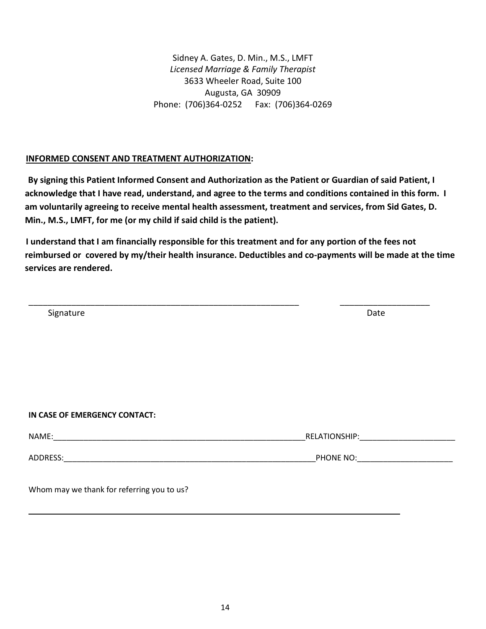### **INFORMED CONSENT AND TREATMENT AUTHORIZATION:**

 **By signing this Patient Informed Consent and Authorization as the Patient or Guardian of said Patient, I acknowledge that I have read, understand, and agree to the terms and conditions contained in this form. I am voluntarily agreeing to receive mental health assessment, treatment and services, from Sid Gates, D. Min., M.S., LMFT, for me (or my child if said child is the patient).**

 **I understand that I am financially responsible for this treatment and for any portion of the fees not reimbursed or covered by my/their health insurance. Deductibles and co-payments will be made at the time services are rendered.**

\_\_\_\_\_\_\_\_\_\_\_\_\_\_\_\_\_\_\_\_\_\_\_\_\_\_\_\_\_\_\_\_\_\_\_\_\_\_\_\_\_\_\_\_\_\_\_\_\_\_\_\_\_\_\_\_\_ \_\_\_\_\_\_\_\_\_\_\_\_\_\_\_\_\_\_\_

Signature **Date** 

### **IN CASE OF EMERGENCY CONTACT:**

| NAME:    | <b>RELATIONSHIP:</b> |  |  |
|----------|----------------------|--|--|
| ADDRESS: | PHONE NO:            |  |  |

Whom may we thank for referring you to us?